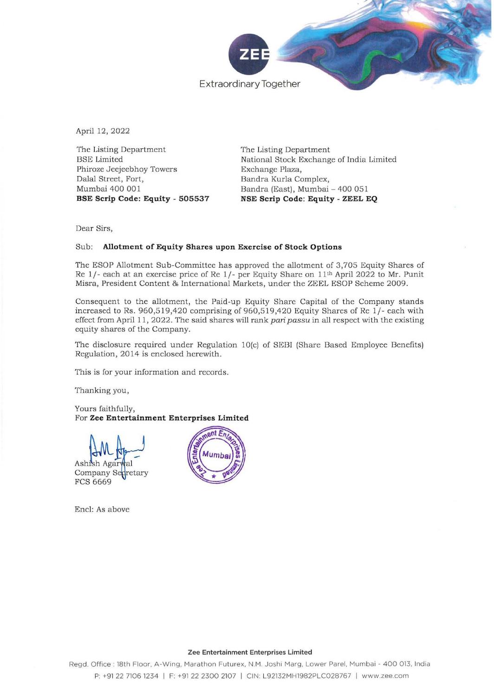

April 12, 2022

The Listing Department BSE Limited **Phiroze Jeejeebhoy Towers Dalal Street, Fort,**  Mumbai 400 001 BSE Scrip Code: Equity - 505537 The Listing Department National Stock Exchange of India Limited **Exchange Plaza,**  Bandra Kurla Complex, Bandra (East), Mumbai - 400 051 NSE Scrip Code: Equity - ZEEL EQ

**Dear Sirs,** 

## **Sub: Allotment of Equity Shares upon Exercise of Stock Options**

The ESOP Allotment Sub-Committcc has approved the allotment of 3,705 Equity Shares of Re  $1/-$  each at an exercise price of Re  $1/-$  per Equity Share on  $11<sup>th</sup>$  April 2022 to Mr. Punit Misra, President Content & International Markets, under the ZEEL ESOP Scheme 2009.

Consequent to the allotment, the Paid-up Equity Share Capital of the Company stands increased to Rs.  $960,519,420$  comprising of  $960,519,420$  Equity Shares of Re  $1/-$  each with effect from April 11, 2022. The said shares will rank *pari passu* in all respect with the existing equity shares of the Company.

The disclosure required under Regulation 10(e) of SEBI (Share Based Employee Benefits) Regulation, 2014 is enclosed herewith.

**This is for your information and records.** 

Thanking you,

Yours faithfully, **For Zee Entertainment Enterprises Limited** 

Company ASH AVA<br>Ashish Agarwal<br>Company Sedretary<br>FCS 6669

Encl: As above



## **Zee Entertainment Enterprises Limited**

Regd. Office: 18th Floor, A-Wing, Marathon Futurex, N.M. Joshi Marg, Lower Parel, Mumbai - 400 013, India P: +91 22 7106 1234 | F: +91 22 2300 2107 | CIN: L92132MH1982PLC028767 | www.zee.com